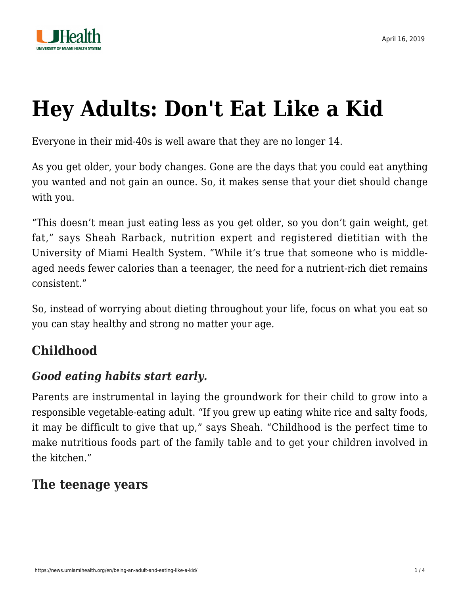

# **[Hey Adults: Don't Eat Like a Kid](https://news.umiamihealth.org/en/being-an-adult-and-eating-like-a-kid/)**

Everyone in their mid-40s is well aware that they are no longer 14.

As you get older, your body changes. Gone are the days that you could eat anything you wanted and not gain an ounce. So, it makes sense that your diet should change with you.

"This doesn't mean just eating less as you get older, so you don't gain weight, get fat," says Sheah Rarback, nutrition expert and registered dietitian with the University of Miami Health System. "While it's true that someone who is middleaged needs fewer calories than a teenager, the need for a nutrient-rich diet remains consistent."

So, instead of worrying about dieting throughout your life, focus on what you eat so you can stay healthy and strong no matter your age.

# **Childhood**

## *Good eating habits start early.*

Parents are instrumental in laying the groundwork for their child to grow into a responsible vegetable-eating adult. "If you grew up eating white rice and salty foods, it may be difficult to give that up," says Sheah. "Childhood is the perfect time to make nutritious foods part of the family table and to get your children involved in the kitchen."

#### **The teenage years**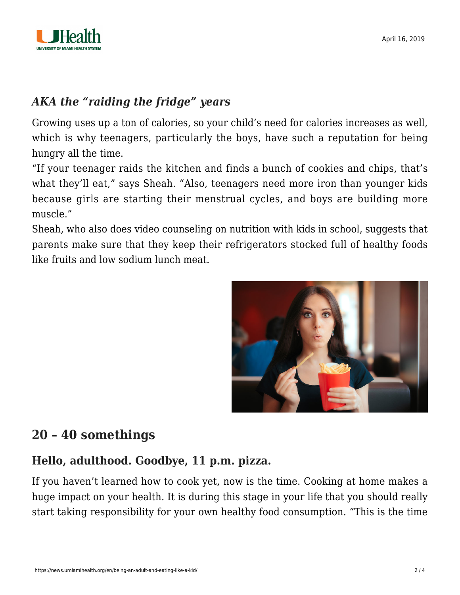

#### *AKA the "raiding the fridge" years*

Growing uses up a ton of calories, so your child's need for calories increases as well, which is why teenagers, particularly the boys, have such a reputation for being hungry all the time.

"If your teenager raids the kitchen and finds a bunch of cookies and chips, that's what they'll eat," says Sheah. "Also, teenagers need more iron than younger kids because girls are starting their menstrual cycles, and boys are building more muscle."

Sheah, who also does video counseling on nutrition with kids in school, suggests that parents make sure that they keep their refrigerators stocked full of healthy foods like fruits and low sodium lunch meat.



# **20 – 40 somethings**

#### **Hello, adulthood. Goodbye, 11 p.m. pizza.**

If you haven't learned how to cook yet, now is the time. Cooking at home makes a huge impact on your health. It is during this stage in your life that you should really start taking responsibility for your own healthy food consumption. "This is the time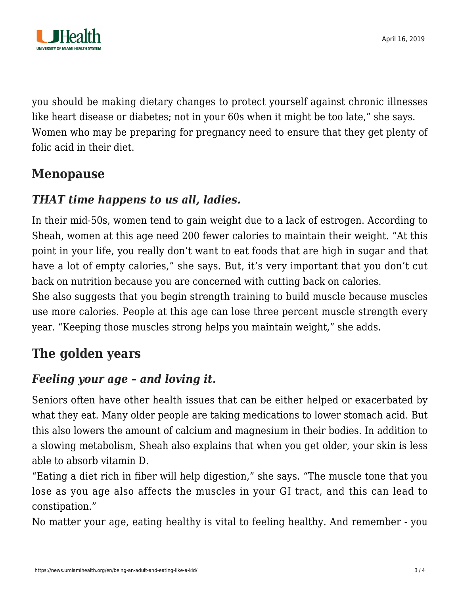

you should be making dietary changes to protect yourself against chronic illnesses like heart disease or diabetes; not in your 60s when it might be too late," she says. Women who may be preparing for pregnancy need to ensure that they get plenty of folic acid in their diet.

## **Menopause**

#### *THAT time happens to us all, ladies.*

In their mid-50s, women tend to gain weight due to a lack of estrogen. According to Sheah, women at this age need 200 fewer calories to maintain their weight. "At this point in your life, you really don't want to eat foods that are high in sugar and that have a lot of empty calories," she says. But, it's very important that you don't cut back on nutrition because you are concerned with cutting back on calories.

She also suggests that you begin strength training to build muscle because muscles use more calories. People at this age can lose three percent muscle strength every year. "Keeping those muscles strong helps you maintain weight," she adds.

# **The golden years**

## *Feeling your age – and loving it.*

Seniors often have other health issues that can be either helped or exacerbated by what they eat. Many older people are taking medications to lower stomach acid. But this also lowers the amount of calcium and magnesium in their bodies. In addition to a slowing metabolism, Sheah also explains that when you get older, your skin is less able to absorb vitamin D.

"Eating a diet rich in fiber will help digestion," she says. "The muscle tone that you lose as you age also affects the muscles in your GI tract, and this can lead to constipation."

No matter your age, eating healthy is vital to feeling healthy. And remember - you